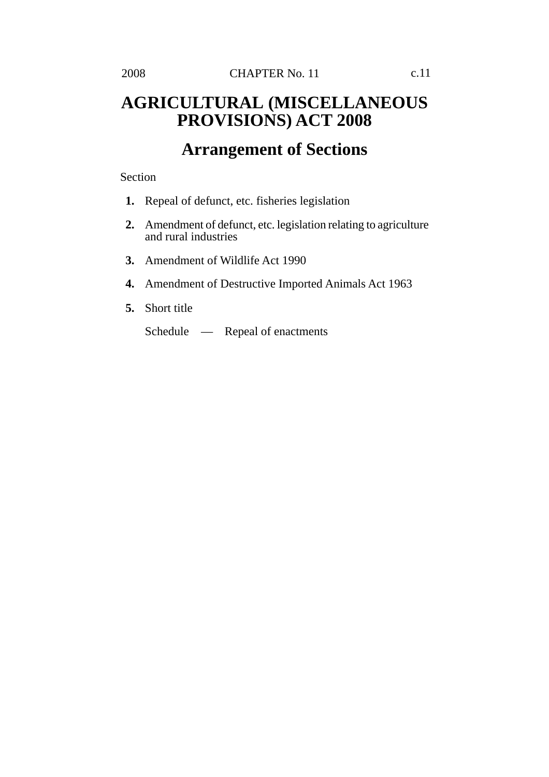## **AGRICULTURAL (MISCELLANEOUS PROVISIONS) ACT 2008**

# **Arrangement of Sections**

Section

- **1.** Repeal of defunct, etc. fisheries legislation
- **2.** Amendment of defunct, etc. legislation relating to agriculture and rural industries
- **3.** Amendment of Wildlife Act 1990
- **4.** Amendment of Destructive Imported Animals Act 1963
- **5.** Short title

Schedule — Repeal of enactments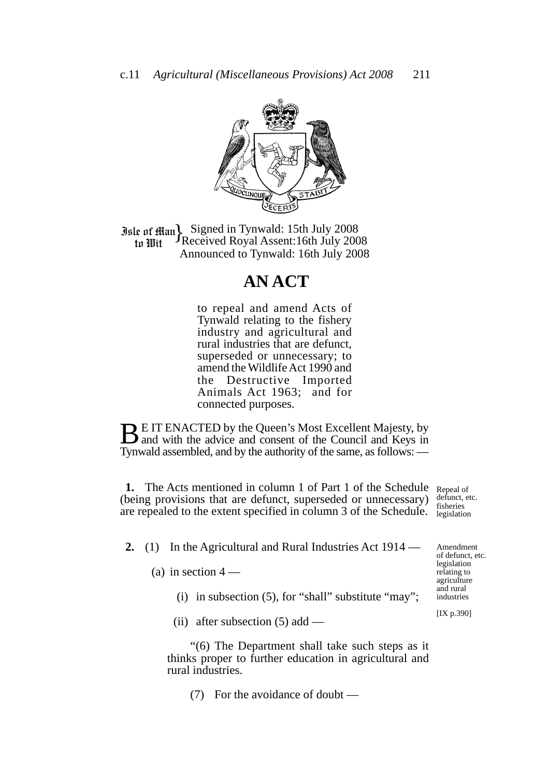

**Jale of Man** Signed in Tynwald: 15th July 2008<br>to Wit Theceived Royal Assent: 16th July 2008 Received Royal Assent:16th July 2008 Announced to Tynwald: 16th July 2008

### **AN ACT**

to repeal and amend Acts of Tynwald relating to the fishery industry and agricultural and rural industries that are defunct, superseded or unnecessary; to amend the Wildlife Act 1990 and the Destructive Imported Animals Act 1963; and for connected purposes.

**BE IT ENACTED by the Queen's Most Excellent Majesty, by** and with the advice and consent of the Council and Keys in Tynwald assembled, and by the authority of the same, as follows: —

**1.** The Acts mentioned in column 1 of Part 1 of the Schedule Repeal of (being provisions that are defunct, superseded or unnecessary) defunct, etc. are repealed to the extent specified in column 3 of the Schedule.

fisheries legislation

Amendment of defunct, etc. legislation

**2.** (1) In the Agricultural and Rural Industries Act 1914 —

(a) in section  $4-$ 

- (i) in subsection (5), for "shall" substitute "may";
- (ii) after subsection  $(5)$  add —

"(6) The Department shall take such steps as it thinks proper to further education in agricultural and rural industries.

(7) For the avoidance of doubt —

relating to agriculture and rural industries

[IX p.390]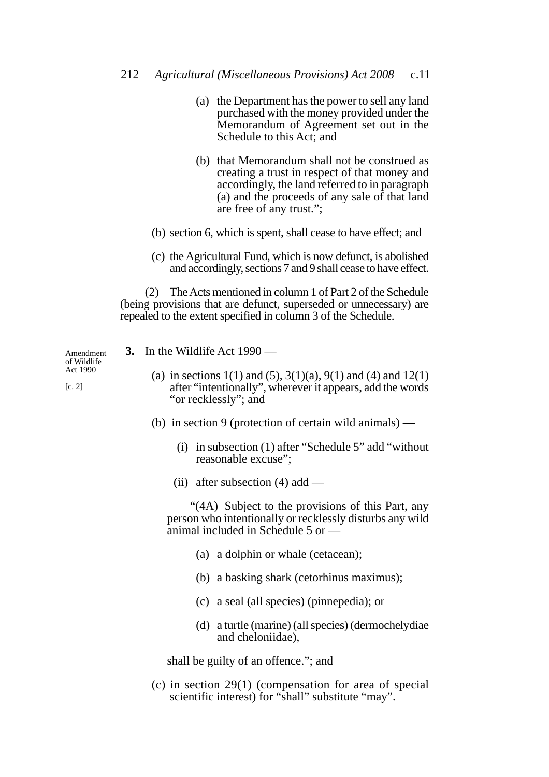- 212 *Agricultural (Miscellaneous Provisions) Act 2008* c.11
	- (a) the Department has the power to sell any land purchased with the money provided under the Memorandum of Agreement set out in the Schedule to this Act; and
	- (b) that Memorandum shall not be construed as creating a trust in respect of that money and accordingly, the land referred to in paragraph (a) and the proceeds of any sale of that land are free of any trust.";
	- (b) section 6, which is spent, shall cease to have effect; and
	- (c) the Agricultural Fund, which is now defunct, is abolished and accordingly, sections 7 and 9 shall cease to have effect.

(2) The Acts mentioned in column 1 of Part 2 of the Schedule (being provisions that are defunct, superseded or unnecessary) are repealed to the extent specified in column 3 of the Schedule.

**3.** In the Wildlife Act 1990 — (a) in sections  $1(1)$  and  $(5)$ ,  $3(1)(a)$ ,  $9(1)$  and  $(4)$  and  $12(1)$ Amendment

- after "intentionally", wherever it appears, add the words "or recklessly"; and
- (b) in section 9 (protection of certain wild animals)
	- (i) in subsection (1) after "Schedule 5" add "without reasonable excuse";
	- (ii) after subsection (4) add —

"(4A) Subject to the provisions of this Part, any person who intentionally or recklessly disturbs any wild animal included in Schedule 5 or —

- (a) a dolphin or whale (cetacean);
- (b) a basking shark (cetorhinus maximus);
- (c) a seal (all species) (pinnepedia); or
- (d) a turtle (marine) (all species) (dermochelydiae and cheloniidae),

shall be guilty of an offence."; and

(c) in section 29(1) (compensation for area of special scientific interest) for "shall" substitute "may".

of Wildlife Act 1990

[c. 2]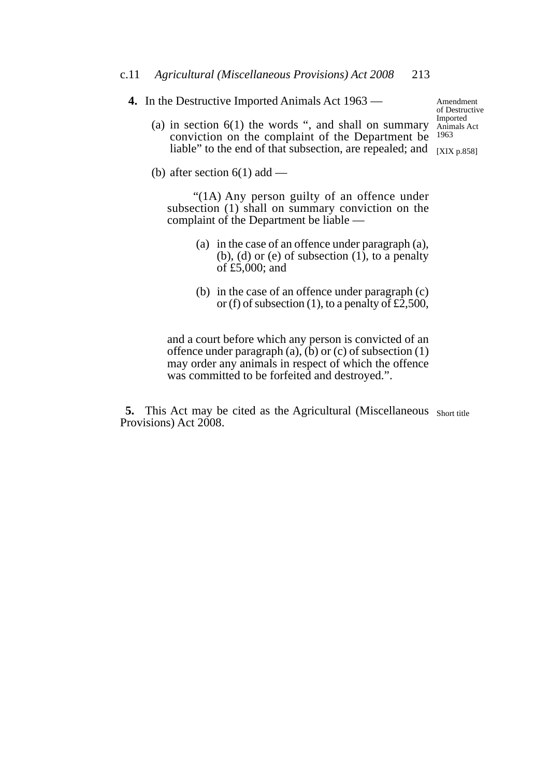**4.** In the Destructive Imported Animals Act 1963 —

Amendment of Destructive Imported

(a) in section  $6(1)$  the words ", and shall on summary  $\frac{mp\text{orth}}{Animals \text{ Act}}$ conviction on the complaint of the Department be 1963 liable" to the end of that subsection, are repealed; and  $_{[XIX p.858]}$ 

(b) after section  $6(1)$  add —

 "(1A) Any person guilty of an offence under subsection (1) shall on summary conviction on the complaint of the Department be liable —

- (a) in the case of an offence under paragraph (a),  $(b)$ ,  $(d)$  or  $(e)$  of subsection  $(1)$ , to a penalty of £5,000; and
- (b) in the case of an offence under paragraph (c) or (f) of subsection (1), to a penalty of  $\pounds2,500$ ,

and a court before which any person is convicted of an offence under paragraph (a),  $(b)$  or (c) of subsection (1) may order any animals in respect of which the offence was committed to be forfeited and destroyed.".

**5.** This Act may be cited as the Agricultural (Miscellaneous Short title Provisions) Act 2008.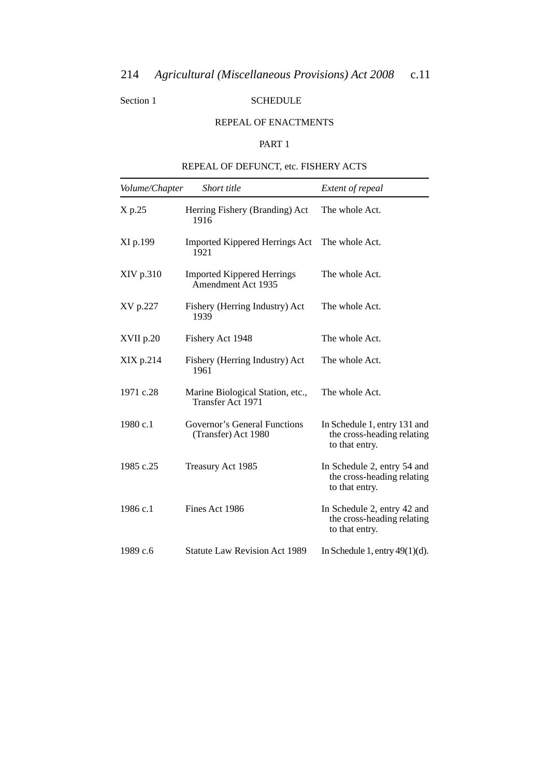#### Section 1 SCHEDULE

#### REPEAL OF ENACTMENTS

#### PART 1

### REPEAL OF DEFUNCT, etc. FISHERY ACTS

| Volume/Chapter | Short title                                                  | Extent of repeal                                                             |
|----------------|--------------------------------------------------------------|------------------------------------------------------------------------------|
| X p.25         | Herring Fishery (Branding) Act<br>1916                       | The whole Act.                                                               |
| XI p.199       | <b>Imported Kippered Herrings Act</b><br>1921                | The whole Act.                                                               |
| XIV p.310      | <b>Imported Kippered Herrings</b><br>Amendment Act 1935      | The whole Act.                                                               |
| XV p.227       | Fishery (Herring Industry) Act<br>1939                       | The whole Act.                                                               |
| XVII p.20      | Fishery Act 1948                                             | The whole Act.                                                               |
| XIX p.214      | Fishery (Herring Industry) Act<br>1961                       | The whole Act.                                                               |
| 1971 c.28      | Marine Biological Station, etc.,<br><b>Transfer Act 1971</b> | The whole Act.                                                               |
| 1980 c.1       | Governor's General Functions<br>(Transfer) Act 1980          | In Schedule 1, entry 131 and<br>the cross-heading relating<br>to that entry. |
| 1985 c.25      | Treasury Act 1985                                            | In Schedule 2, entry 54 and<br>the cross-heading relating<br>to that entry.  |
| 1986 c.1       | Fines Act 1986                                               | In Schedule 2, entry 42 and<br>the cross-heading relating<br>to that entry.  |
| 1989 c.6       | <b>Statute Law Revision Act 1989</b>                         | In Schedule 1, entry $49(1)(d)$ .                                            |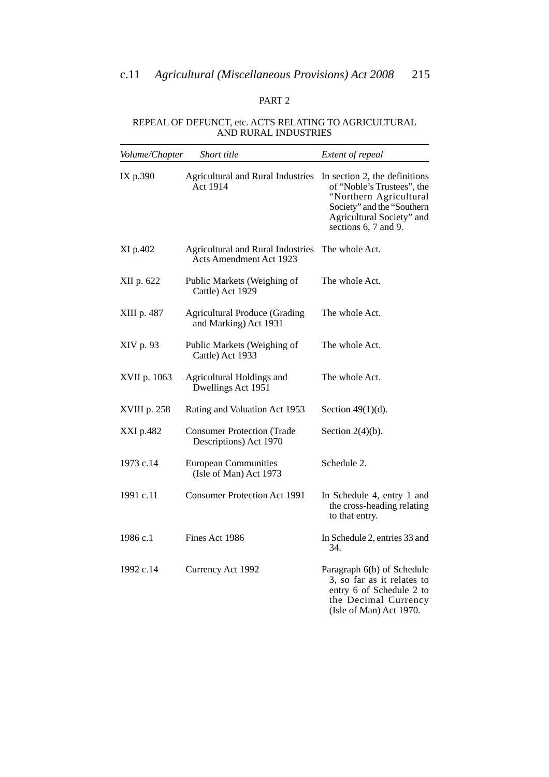#### PART 2

#### REPEAL OF DEFUNCT, etc. ACTS RELATING TO AGRICULTURAL AND RURAL INDUSTRIES

| Volume/Chapter | Short title                                                         | Extent of repeal                                                                                                                                                         |
|----------------|---------------------------------------------------------------------|--------------------------------------------------------------------------------------------------------------------------------------------------------------------------|
| IX p.390       | <b>Agricultural and Rural Industries</b><br>Act 1914                | In section 2, the definitions<br>of "Noble's Trustees", the<br>"Northern Agricultural<br>Society" and the "Southern<br>Agricultural Society" and<br>sections 6, 7 and 9. |
| XI p.402       | <b>Agricultural and Rural Industries</b><br>Acts Amendment Act 1923 | The whole Act.                                                                                                                                                           |
| XII p. 622     | Public Markets (Weighing of<br>Cattle) Act 1929                     | The whole Act.                                                                                                                                                           |
| XIII p. 487    | <b>Agricultural Produce (Grading</b><br>and Marking) Act 1931       | The whole Act.                                                                                                                                                           |
| XIV p. 93      | Public Markets (Weighing of<br>Cattle) Act 1933                     | The whole Act.                                                                                                                                                           |
| XVII p. 1063   | Agricultural Holdings and<br>Dwellings Act 1951                     | The whole Act.                                                                                                                                                           |
| XVIII p. 258   | Rating and Valuation Act 1953                                       | Section $49(1)(d)$ .                                                                                                                                                     |
| XXI p.482      | <b>Consumer Protection (Trade</b><br>Descriptions) Act 1970         | Section $2(4)(b)$ .                                                                                                                                                      |
| 1973 c.14      | <b>European Communities</b><br>(Isle of Man) Act 1973               | Schedule 2.                                                                                                                                                              |
| 1991 c.11      | <b>Consumer Protection Act 1991</b>                                 | In Schedule 4, entry 1 and<br>the cross-heading relating<br>to that entry.                                                                                               |
| 1986 c.1       | Fines Act 1986                                                      | In Schedule 2, entries 33 and<br>34.                                                                                                                                     |
| 1992 c.14      | Currency Act 1992                                                   | Paragraph 6(b) of Schedule<br>3, so far as it relates to<br>entry 6 of Schedule 2 to<br>the Decimal Currency<br>(Isle of Man) Act 1970.                                  |